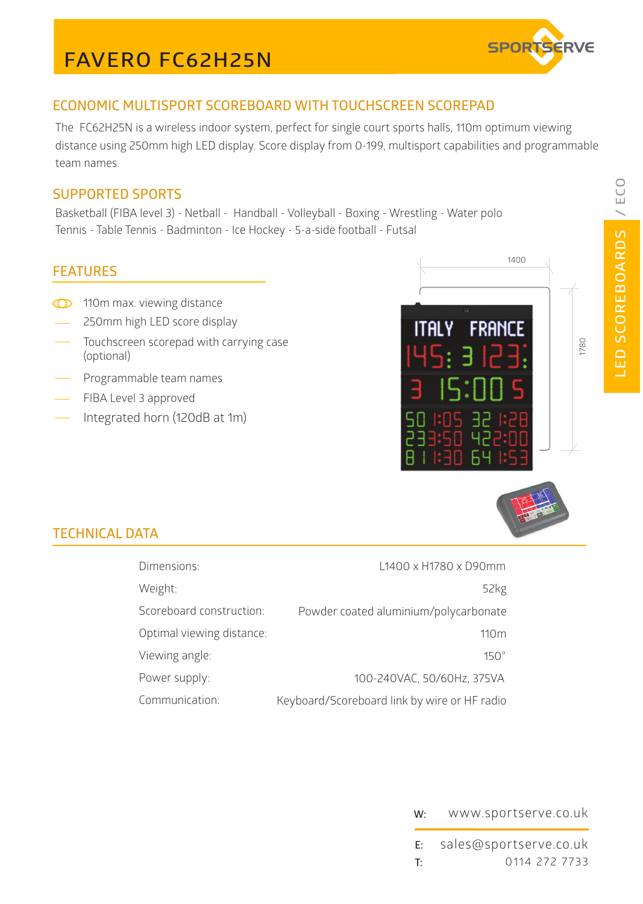# **FAVERO FC62H25N**



## **ECONOMIC MULTISPORT SCOREBOARD WITH TOUCHSCREEN SCOREPAD**

The FC62H25N is a wireless indoor system, perfect for single court sports halls, 110m optimum viewing distance using 250mm high LED display. Score display from 0-199, multisport capabilities and programmable team names.

### **SUPPORTED SPORTS**

Basketball (FIBA level 3) - Netball - Handball - Volleyball - Boxing - Wrestling - Water polo Tennis - Table Tennis - Badminton - Ice Hockey - 5-a-side football - Futsal

#### **FEATURES**

- <sup>110</sup>m max. viewing distance
- 250mm high LED score display
- Touchscreen scorepad with carrying case (optional)
- Programmable team names
- FIBA Level 3 approved
- Integrated horn (120dB at 1m)



## **TECHNICAL DATA**

| Dimensions:               | L1400 x H1780 x D90mm                        |
|---------------------------|----------------------------------------------|
| Weight:                   | 52kg                                         |
| Scoreboard construction:  | Powder coated aluminium/polycarbonate        |
| Optimal viewing distance: | 110 <sub>m</sub>                             |
| Viewing angle:            | $150^\circ$                                  |
| Power supply:             | 100-240VAC, 50/60Hz, 375VA                   |
| Communication:            | Keyboard/Scoreboard link by wire or HF radio |



#### **W:** www.sportserve.co.uk

**E: T:** 0114 272 7733 sales@sportserve.co.uk